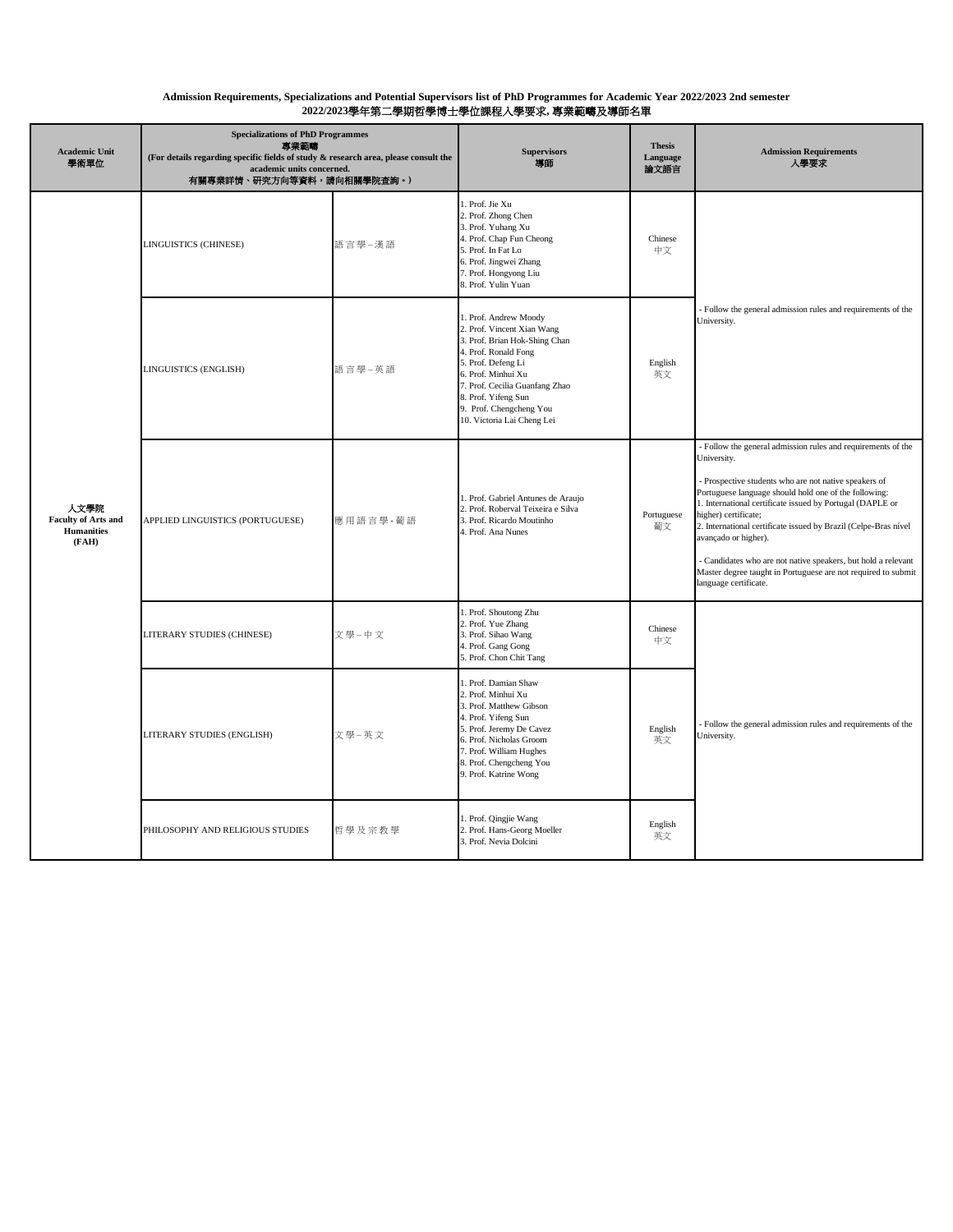## **Admission Requirements, Specializations and Potential Supervisors list of PhD Programmes for Academic Year 2022/2023 2nd semester 2022/2023**學年第二學期哲學博士學位課程入學要求**,** 專業範疇及導師名單

| <b>Academic Unit</b><br>學術單位                                     | <b>Specializations of PhD Programmes</b><br>專業範疇<br>(For details regarding specific fields of study & research area, please consult the<br>academic units concerned.<br>有關專業詳情、研究方向等資料,請向相關學院查詢。) |          | <b>Supervisors</b><br>導師                                                                                                                                                                                                                                                   | <b>Thesis</b><br>Language<br>論文語言 | <b>Admission Requirements</b><br>人學要求                                                                                                                                                                                                                                                                                                                                                                                                                                                                                                  |
|------------------------------------------------------------------|---------------------------------------------------------------------------------------------------------------------------------------------------------------------------------------------------|----------|----------------------------------------------------------------------------------------------------------------------------------------------------------------------------------------------------------------------------------------------------------------------------|-----------------------------------|----------------------------------------------------------------------------------------------------------------------------------------------------------------------------------------------------------------------------------------------------------------------------------------------------------------------------------------------------------------------------------------------------------------------------------------------------------------------------------------------------------------------------------------|
| 人文學院<br><b>Faculty of Arts and</b><br><b>Humanities</b><br>(FAH) | LINGUISTICS (CHINESE)                                                                                                                                                                             | 語言學-漢語   | 1. Prof. Jie Xu<br>2. Prof. Zhong Chen<br>3. Prof. Yuhang Xu<br>4. Prof. Chap Fun Cheong<br>5. Prof. In Fat Lo<br>6. Prof. Jingwei Zhang<br>7. Prof. Hongyong Liu<br>8. Prof. Yulin Yuan                                                                                   | Chinese<br>中文                     | Follow the general admission rules and requirements of the<br>University.                                                                                                                                                                                                                                                                                                                                                                                                                                                              |
|                                                                  | LINGUISTICS (ENGLISH)                                                                                                                                                                             | 語言學-英語   | 1. Prof. Andrew Moody<br>2. Prof. Vincent Xian Wang<br>3. Prof. Brian Hok-Shing Chan<br>4. Prof. Ronald Fong<br>5. Prof. Defeng Li<br>6. Prof. Minhui Xu<br>7. Prof. Cecilia Guanfang Zhao<br>8. Prof. Yifeng Sun<br>9. Prof. Chengcheng You<br>10. Victoria Lai Cheng Lei | English<br>英文                     |                                                                                                                                                                                                                                                                                                                                                                                                                                                                                                                                        |
|                                                                  | APPLIED LINGUISTICS (PORTUGUESE)                                                                                                                                                                  | 應用語言學-葡語 | 1. Prof. Gabriel Antunes de Araujo<br>2. Prof. Roberval Teixeira e Silva<br>3. Prof. Ricardo Moutinho<br>4. Prof. Ana Nunes                                                                                                                                                | Portuguese<br>葡文                  | - Follow the general admission rules and requirements of the<br>University.<br>- Prospective students who are not native speakers of<br>Portuguese language should hold one of the following:<br>1. International certificate issued by Portugal (DAPLE or<br>higher) certificate;<br>2. International certificate issued by Brazil (Celpe-Bras nível<br>avançado or higher).<br>Candidates who are not native speakers, but hold a relevant<br>Master degree taught in Portuguese are not required to submit<br>language certificate. |
|                                                                  | LITERARY STUDIES (CHINESE)                                                                                                                                                                        | 文學-中文    | 1. Prof. Shoutong Zhu<br>2. Prof. Yue Zhang<br>3. Prof. Sihao Wang<br>4. Prof. Gang Gong<br>5. Prof. Chon Chit Tang                                                                                                                                                        | Chinese<br>中文                     |                                                                                                                                                                                                                                                                                                                                                                                                                                                                                                                                        |
|                                                                  | LITERARY STUDIES (ENGLISH)                                                                                                                                                                        | 文學-英文    | 1. Prof. Damian Shaw<br>2. Prof. Minhui Xu<br>3. Prof. Matthew Gibson<br>4. Prof. Yifeng Sun<br>5. Prof. Jeremy De Cavez<br>6. Prof. Nicholas Groom<br>7. Prof. William Hughes<br>8. Prof. Chengcheng You<br>9. Prof. Katrine Wong                                         | English<br>英文                     | Follow the general admission rules and requirements of the<br>University.                                                                                                                                                                                                                                                                                                                                                                                                                                                              |
|                                                                  | PHILOSOPHY AND RELIGIOUS STUDIES                                                                                                                                                                  | 哲學及宗教學   | 1. Prof. Qingjie Wang<br>2. Prof. Hans-Georg Moeller<br>3. Prof. Nevia Dolcini                                                                                                                                                                                             | English<br>英文                     |                                                                                                                                                                                                                                                                                                                                                                                                                                                                                                                                        |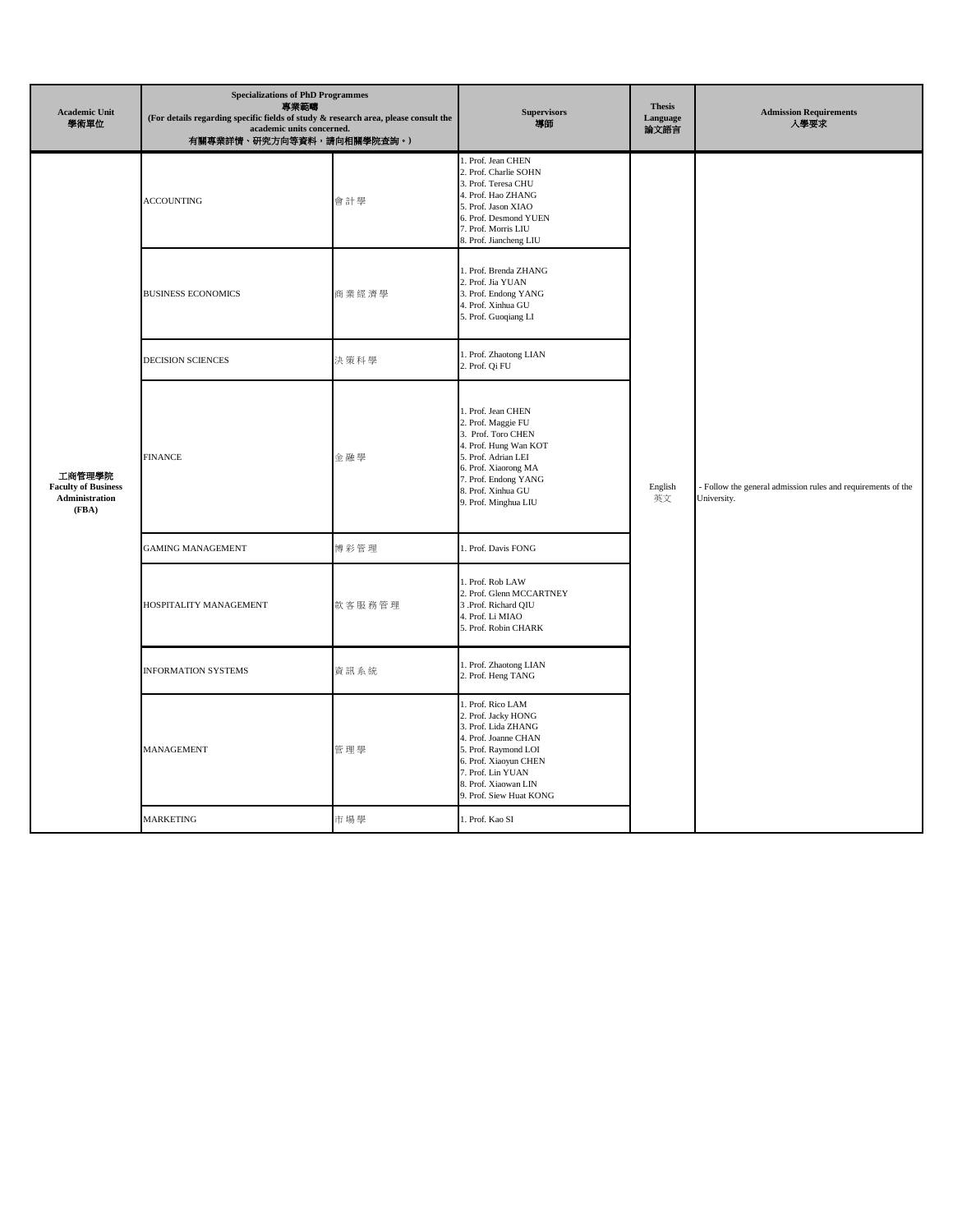| <b>Academic Unit</b><br>學術單位                                    | <b>Specializations of PhD Programmes</b><br>專業範疇<br>(For details regarding specific fields of study $\&$ research area, please consult the<br>academic units concerned.<br>有關專業詳情、研究方向等資料,請向相關學院查詢。) |        | <b>Supervisors</b><br>導師                                                                                                                                                                                         | <b>Thesis</b><br>Language<br>論文語言 | <b>Admission Requirements</b><br>入學要求                                       |
|-----------------------------------------------------------------|------------------------------------------------------------------------------------------------------------------------------------------------------------------------------------------------------|--------|------------------------------------------------------------------------------------------------------------------------------------------------------------------------------------------------------------------|-----------------------------------|-----------------------------------------------------------------------------|
| 工商管理學院<br><b>Faculty of Business</b><br>Administration<br>(FBA) | <b>ACCOUNTING</b>                                                                                                                                                                                    | 會計學    | 1. Prof. Jean CHEN<br>2. Prof. Charlie SOHN<br>3. Prof. Teresa CHU<br>4. Prof. Hao ZHANG<br>5. Prof. Jason XIAO<br>6. Prof. Desmond YUEN<br>7. Prof. Morris LIU<br>8. Prof. Jiancheng LIU                        |                                   | - Follow the general admission rules and requirements of the<br>University. |
|                                                                 | <b>BUSINESS ECONOMICS</b>                                                                                                                                                                            | 商業經濟學  | 1. Prof. Brenda ZHANG<br>2. Prof. Jia YUAN<br>3. Prof. Endong YANG<br>4. Prof. Xinhua GU<br>5. Prof. Guoqiang LI                                                                                                 |                                   |                                                                             |
|                                                                 | <b>DECISION SCIENCES</b>                                                                                                                                                                             | 決策科學   | 1. Prof. Zhaotong LIAN<br>2. Prof. Qi FU                                                                                                                                                                         |                                   |                                                                             |
|                                                                 | <b>FINANCE</b>                                                                                                                                                                                       | 金融學    | 1. Prof. Jean CHEN<br>2. Prof. Maggie FU<br>3. Prof. Toro CHEN<br>4. Prof. Hung Wan KOT<br>5. Prof. Adrian LEI<br>6. Prof. Xiaorong MA<br>7. Prof. Endong YANG<br>8. Prof. Xinhua GU<br>9. Prof. Minghua LIU     | English<br>英文                     |                                                                             |
|                                                                 | <b>GAMING MANAGEMENT</b>                                                                                                                                                                             | 博彩管理   | 1. Prof. Davis FONG                                                                                                                                                                                              |                                   |                                                                             |
|                                                                 | HOSPITALITY MANAGEMENT                                                                                                                                                                               | 款客服務管理 | 1. Prof. Rob LAW<br>2. Prof. Glenn MCCARTNEY<br>3 .Prof. Richard QIU<br>4. Prof. Li MIAO<br>5. Prof. Robin CHARK                                                                                                 |                                   |                                                                             |
|                                                                 | <b>INFORMATION SYSTEMS</b>                                                                                                                                                                           | 資訊系統   | 1. Prof. Zhaotong LIAN<br>2. Prof. Heng TANG                                                                                                                                                                     |                                   |                                                                             |
|                                                                 | <b>MANAGEMENT</b>                                                                                                                                                                                    | 管理學    | 1. Prof. Rico LAM<br>2. Prof. Jacky HONG<br>3. Prof. Lida ZHANG<br>4. Prof. Joanne CHAN<br>5. Prof. Raymond LOI<br>6. Prof. Xiaoyun CHEN<br>7. Prof. Lin YUAN<br>8. Prof. Xiaowan LIN<br>9. Prof. Siew Huat KONG |                                   |                                                                             |
|                                                                 | <b>MARKETING</b>                                                                                                                                                                                     | 市場學    | 1. Prof. Kao SI                                                                                                                                                                                                  |                                   |                                                                             |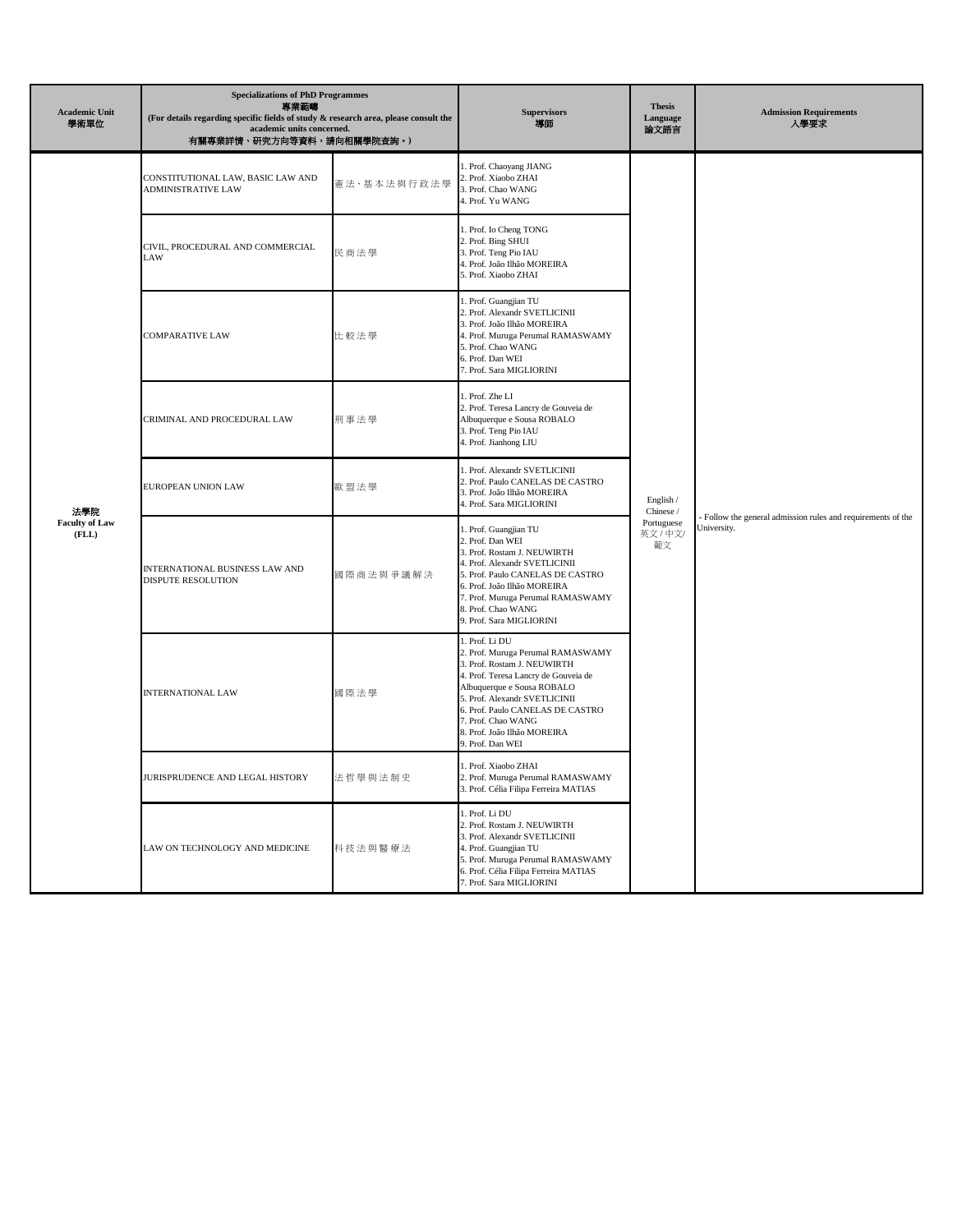| <b>Academic Unit</b><br>學術單位          | <b>Specializations of PhD Programmes</b><br>專業範疇<br>(For details regarding specific fields of study & research area, please consult the<br>academic units concerned.<br>有關專業詳情、研究方向等資料,請向相關學院查詢。) |             | <b>Supervisors</b><br>導師                                                                                                                                                                                                                                                                               | <b>Thesis</b><br>Language<br>論文語言                      | <b>Admission Requirements</b><br>人學要求                                       |
|---------------------------------------|---------------------------------------------------------------------------------------------------------------------------------------------------------------------------------------------------|-------------|--------------------------------------------------------------------------------------------------------------------------------------------------------------------------------------------------------------------------------------------------------------------------------------------------------|--------------------------------------------------------|-----------------------------------------------------------------------------|
| 法學院<br><b>Faculty of Law</b><br>(FLL) | CONSTITUTIONAL LAW, BASIC LAW AND<br><b>ADMINISTRATIVE LAW</b>                                                                                                                                    | 憲法·基本法與行政法學 | . Prof. Chaoyang JIANG<br>2. Prof. Xiaobo ZHAI<br>3. Prof. Chao WANG<br>4. Prof. Yu WANG                                                                                                                                                                                                               |                                                        | - Follow the general admission rules and requirements of the<br>University. |
|                                       | CIVIL, PROCEDURAL AND COMMERCIAL<br>LAW                                                                                                                                                           | 民商法學        | 1. Prof. Io Cheng TONG<br>2. Prof. Bing SHUI<br>3. Prof. Teng Pio IAU<br>4. Prof. João Ilhão MOREIRA<br>5. Prof. Xiaobo ZHAI                                                                                                                                                                           |                                                        |                                                                             |
|                                       | <b>COMPARATIVE LAW</b>                                                                                                                                                                            | 比較法學        | 1. Prof. Guangjian TU<br>2. Prof. Alexandr SVETLICINII<br>3. Prof. João Ilhão MOREIRA<br>4. Prof. Muruga Perumal RAMASWAMY<br>5. Prof. Chao WANG<br>6. Prof. Dan WEI<br>7. Prof. Sara MIGLIORINI                                                                                                       |                                                        |                                                                             |
|                                       | CRIMINAL AND PROCEDURAL LAW                                                                                                                                                                       | 刑事法學        | 1. Prof. Zhe LI<br>2. Prof. Teresa Lancry de Gouveia de<br>Albuquerque e Sousa ROBALO<br>3. Prof. Teng Pio IAU<br>4. Prof. Jianhong LIU                                                                                                                                                                | English /<br>Chinese /<br>Portuguese<br>英文 / 中文/<br>葡文 |                                                                             |
|                                       | EUROPEAN UNION LAW                                                                                                                                                                                | 歐盟法學        | 1. Prof. Alexandr SVETLICINII<br>2. Prof. Paulo CANELAS DE CASTRO<br>3. Prof. João Ilhão MOREIRA<br>4. Prof. Sara MIGLIORINI                                                                                                                                                                           |                                                        |                                                                             |
|                                       | INTERNATIONAL BUSINESS LAW AND<br>DISPUTE RESOLUTION                                                                                                                                              | 國際商法與爭議解決   | 1. Prof. Guangjian TU<br>2. Prof. Dan WEI<br>3. Prof. Rostam J. NEUWIRTH<br>4. Prof. Alexandr SVETLICINII<br>5. Prof. Paulo CANELAS DE CASTRO<br>6. Prof. João Ilhão MOREIRA<br>7. Prof. Muruga Perumal RAMASWAMY<br>8. Prof. Chao WANG<br>9. Prof. Sara MIGLIORINI                                    |                                                        |                                                                             |
|                                       | <b>INTERNATIONAL LAW</b>                                                                                                                                                                          | 國際法學        | 1. Prof. Li DU<br>2. Prof. Muruga Perumal RAMASWAMY<br>3. Prof. Rostam J. NEUWIRTH<br>4. Prof. Teresa Lancry de Gouveia de<br>Albuquerque e Sousa ROBALO<br>5. Prof. Alexandr SVETLICINII<br>6. Prof. Paulo CANELAS DE CASTRO<br>7. Prof. Chao WANG<br>8. Prof. João Ilhão MOREIRA<br>9. Prof. Dan WEI |                                                        |                                                                             |
|                                       | JURISPRUDENCE AND LEGAL HISTORY                                                                                                                                                                   | 法哲學與法制史     | 1. Prof. Xiaobo ZHAI<br>2. Prof. Muruga Perumal RAMASWAMY<br>3. Prof. Célia Filipa Ferreira MATIAS                                                                                                                                                                                                     |                                                        |                                                                             |
|                                       | LAW ON TECHNOLOGY AND MEDICINE                                                                                                                                                                    | 科技法與醫療法     | 1. Prof. Li DU<br>2. Prof. Rostam J. NEUWIRTH<br>3. Prof. Alexandr SVETLICINII<br>4. Prof. Guangjian TU<br>5. Prof. Muruga Perumal RAMASWAMY<br>6. Prof. Célia Filipa Ferreira MATIAS<br>7. Prof. Sara MIGLIORINI                                                                                      |                                                        |                                                                             |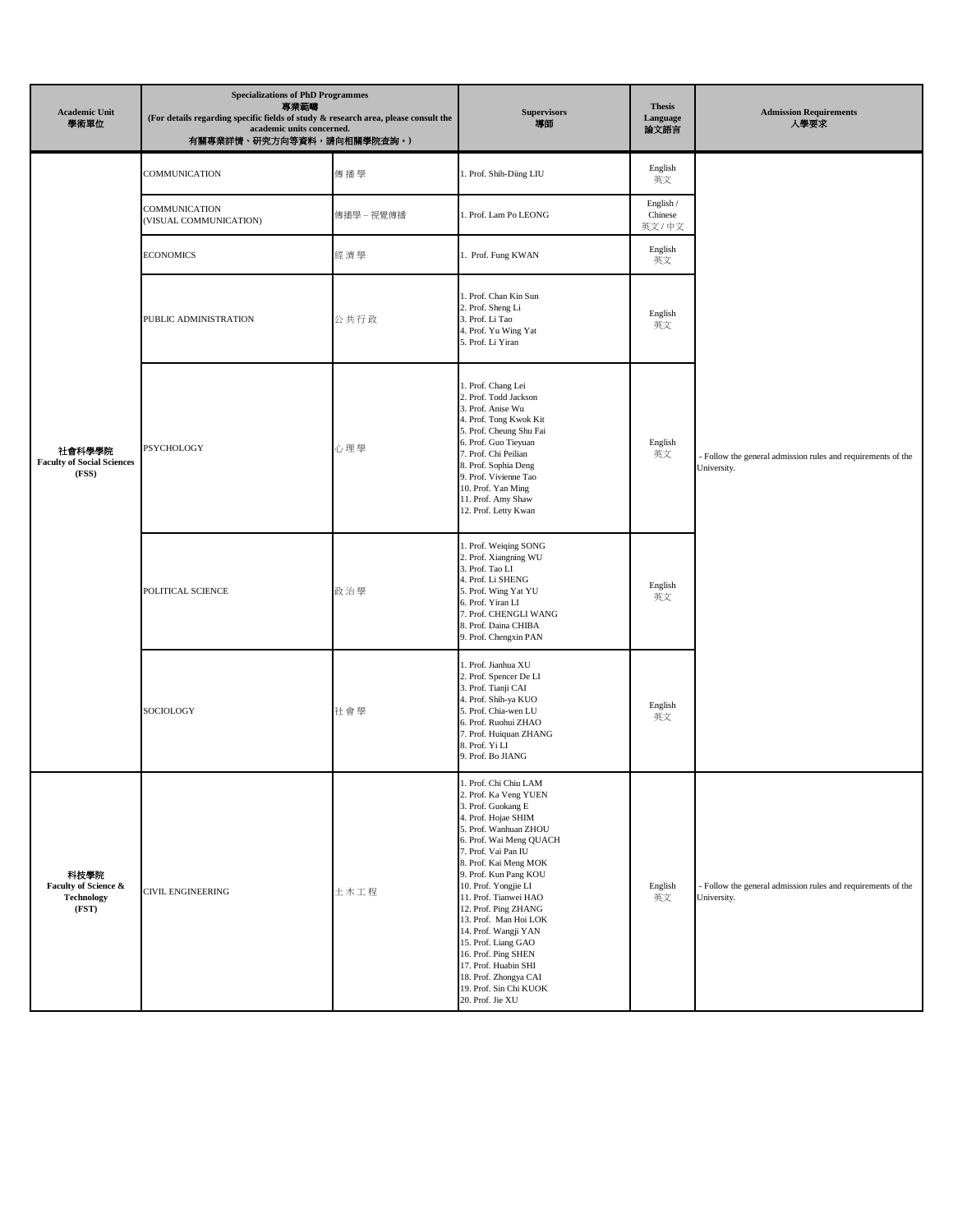| <b>Academic Unit</b><br>學術單位                               | <b>Specializations of PhD Programmes</b><br>專業範疇<br>(For details regarding specific fields of study & research area, please consult the<br>academic units concerned.<br>有關專業詳情、研究方向等資料,請向相關學院查詢。) |            | <b>Supervisors</b><br>導師                                                                                                                                                                                                                                                                                                                                                                                                                                                                        | <b>Thesis</b><br>Language<br>論文語言 | <b>Admission Requirements</b><br>人學要求                                       |
|------------------------------------------------------------|---------------------------------------------------------------------------------------------------------------------------------------------------------------------------------------------------|------------|-------------------------------------------------------------------------------------------------------------------------------------------------------------------------------------------------------------------------------------------------------------------------------------------------------------------------------------------------------------------------------------------------------------------------------------------------------------------------------------------------|-----------------------------------|-----------------------------------------------------------------------------|
|                                                            | COMMUNICATION                                                                                                                                                                                     | 傳播學        | 1. Prof. Shih-Diing LIU                                                                                                                                                                                                                                                                                                                                                                                                                                                                         | English<br>英文                     |                                                                             |
| 社會科學學院<br><b>Faculty of Social Sciences</b><br>(FSS)       | COMMUNICATION<br>(VISUAL COMMUNICATION)                                                                                                                                                           | 傳播學 – 視覺傳播 | 1. Prof. Lam Po LEONG                                                                                                                                                                                                                                                                                                                                                                                                                                                                           | English /<br>Chinese<br>英文/中文     |                                                                             |
|                                                            | <b>ECONOMICS</b>                                                                                                                                                                                  | 經濟學        | 1. Prof. Fung KWAN                                                                                                                                                                                                                                                                                                                                                                                                                                                                              | English<br>英文                     |                                                                             |
|                                                            | PUBLIC ADMINISTRATION                                                                                                                                                                             | 公共行政       | 1. Prof. Chan Kin Sun<br>2. Prof. Sheng Li<br>3. Prof. Li Tao<br>4. Prof. Yu Wing Yat<br>5. Prof. Li Yiran                                                                                                                                                                                                                                                                                                                                                                                      | English<br>英文                     |                                                                             |
|                                                            | PSYCHOLOGY                                                                                                                                                                                        | 心理學        | 1. Prof. Chang Lei<br>2. Prof. Todd Jackson<br>3. Prof. Anise Wu<br>4. Prof. Tong Kwok Kit<br>5. Prof. Cheung Shu Fai<br>6. Prof. Guo Tieyuan<br>7. Prof. Chi Peilian<br>8. Prof. Sophia Deng<br>9. Prof. Vivienne Tao<br>10. Prof. Yan Ming<br>11. Prof. Amy Shaw<br>12. Prof. Letty Kwan                                                                                                                                                                                                      | English<br>英文                     | - Follow the general admission rules and requirements of the<br>University. |
|                                                            | POLITICAL SCIENCE                                                                                                                                                                                 | 政治學        | 1. Prof. Weiqing SONG<br>2. Prof. Xiangning WU<br>3. Prof. Tao LI<br>4. Prof. Li SHENG<br>5. Prof. Wing Yat YU<br>6. Prof. Yiran LI<br>7. Prof. CHENGLI WANG<br>8. Prof. Daina CHIBA<br>9. Prof. Chengxin PAN                                                                                                                                                                                                                                                                                   | English<br>英文                     |                                                                             |
|                                                            | SOCIOLOGY                                                                                                                                                                                         | 社會學        | 1. Prof. Jianhua XU<br>2. Prof. Spencer De LI<br>3. Prof. Tianji CAI<br>4. Prof. Shih-ya KUO<br>5. Prof. Chia-wen LU<br>6. Prof. Ruohui ZHAO<br>7. Prof. Huiquan ZHANG<br>8. Prof. Yi LI<br>9. Prof. Bo JIANG                                                                                                                                                                                                                                                                                   | English<br>英文                     |                                                                             |
| 科技學院<br>Faculty of Science &<br><b>Technology</b><br>(FST) | <b>CIVIL ENGINEERING</b>                                                                                                                                                                          | 土木工程       | 1. Prof. Chi Chiu LAM<br>2. Prof. Ka Veng YUEN<br>3. Prof. Guokang E<br>4. Prof. Hojae SHIM<br>5. Prof. Wanhuan ZHOU<br>6. Prof. Wai Meng QUACH<br>7. Prof. Vai Pan IU<br>8. Prof. Kai Meng MOK<br>9. Prof. Kun Pang KOU<br>10. Prof. Yongjie LI<br>11. Prof. Tianwei HAO<br>12. Prof. Ping ZHANG<br>13. Prof. Man Hoi LOK<br>14. Prof. Wangji YAN<br>15. Prof. Liang GAO<br>16. Prof. Ping SHEN<br>17. Prof. Huabin SHI<br>18. Prof. Zhongya CAI<br>19. Prof. Sin Chi KUOK<br>20. Prof. Jie XU | English<br>英文                     | Follow the general admission rules and requirements of the<br>University.   |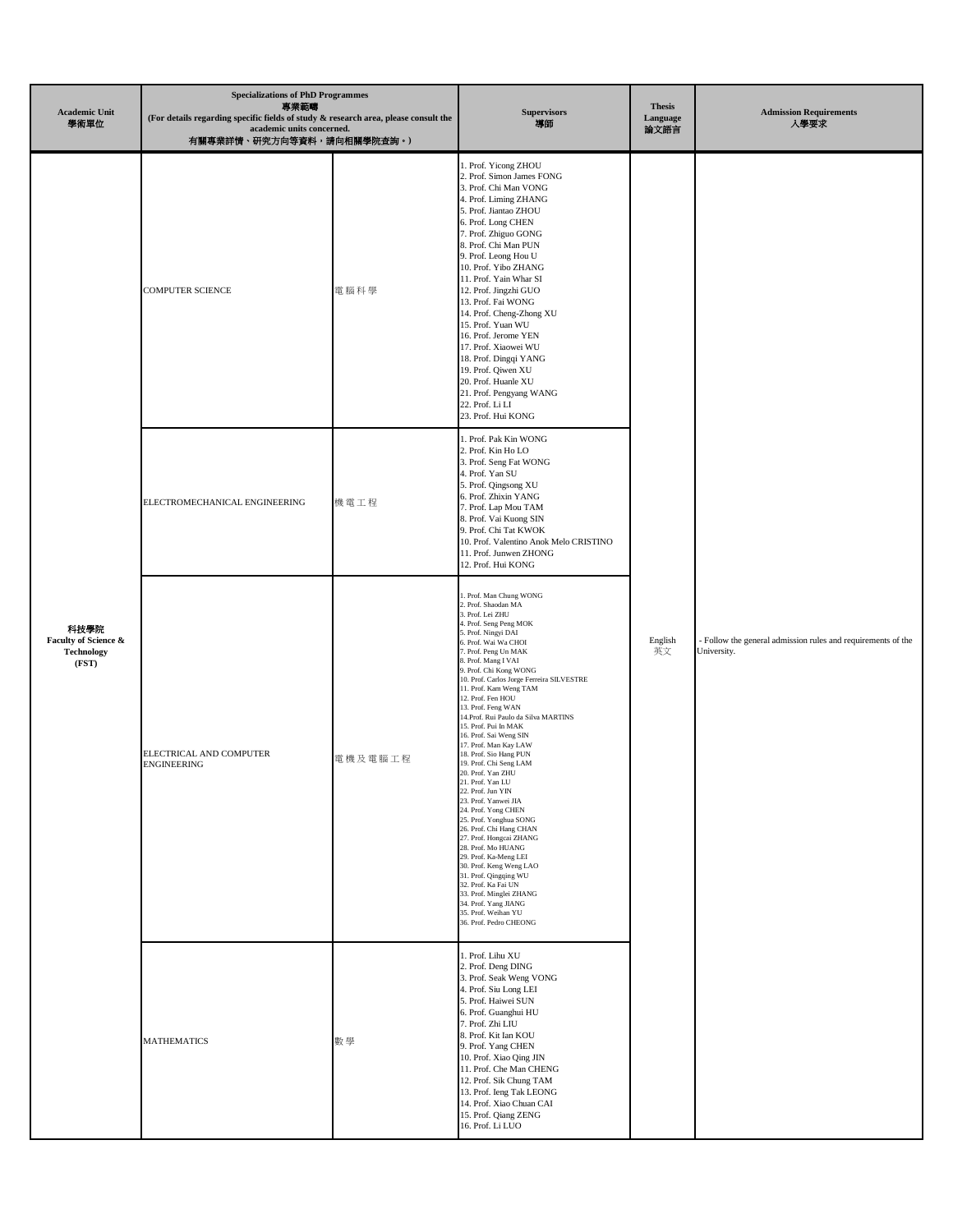| <b>Academic Unit</b><br>學術單位                               | <b>Specializations of PhD Programmes</b><br>專業範疇<br>(For details regarding specific fields of study & research area, please consult the<br>academic units concerned.<br>有關專業詳情、研究方向等資料,請向相關學院查詢。) |         | <b>Supervisors</b><br>導師                                                                                                                                                                                                                                                                                                                                                                                                                                                                                                                                                                                                                                                                                                                                                                                                                                                                                                                 | <b>Thesis</b><br>Language<br>論文語言 | <b>Admission Requirements</b><br>人學要求                                       |
|------------------------------------------------------------|---------------------------------------------------------------------------------------------------------------------------------------------------------------------------------------------------|---------|------------------------------------------------------------------------------------------------------------------------------------------------------------------------------------------------------------------------------------------------------------------------------------------------------------------------------------------------------------------------------------------------------------------------------------------------------------------------------------------------------------------------------------------------------------------------------------------------------------------------------------------------------------------------------------------------------------------------------------------------------------------------------------------------------------------------------------------------------------------------------------------------------------------------------------------|-----------------------------------|-----------------------------------------------------------------------------|
| 科技學院<br>Faculty of Science &<br><b>Technology</b><br>(FST) | <b>COMPUTER SCIENCE</b>                                                                                                                                                                           | 電腦科學    | 1. Prof. Yicong ZHOU<br>2. Prof. Simon James FONG<br>3. Prof. Chi Man VONG<br>4. Prof. Liming ZHANG<br>5. Prof. Jiantao ZHOU<br>6. Prof. Long CHEN<br>7. Prof. Zhiguo GONG<br>8. Prof. Chi Man PUN<br>9. Prof. Leong Hou U<br>10. Prof. Yibo ZHANG<br>11. Prof. Yain Whar SI<br>12. Prof. Jingzhi GUO<br>13. Prof. Fai WONG<br>14. Prof. Cheng-Zhong XU<br>15. Prof. Yuan WU<br>16. Prof. Jerome YEN<br>17. Prof. Xiaowei WU<br>18. Prof. Dingqi YANG<br>19. Prof. Qiwen XU<br>20. Prof. Huanle XU<br>21. Prof. Pengyang WANG<br>22. Prof. Li LI<br>23. Prof. Hui KONG                                                                                                                                                                                                                                                                                                                                                                   | English<br>英文                     | - Follow the general admission rules and requirements of the<br>University. |
|                                                            | ELECTROMECHANICAL ENGINEERING                                                                                                                                                                     | 機電工程    | 1. Prof. Pak Kin WONG<br>2. Prof. Kin Ho LO<br>3. Prof. Seng Fat WONG<br>4. Prof. Yan SU<br>5. Prof. Qingsong XU<br>6. Prof. Zhixin YANG<br>7. Prof. Lap Mou TAM<br>8. Prof. Vai Kuong SIN<br>9. Prof. Chi Tat KWOK<br>10. Prof. Valentino Anok Melo CRISTINO<br>11. Prof. Junwen ZHONG<br>12. Prof. Hui KONG                                                                                                                                                                                                                                                                                                                                                                                                                                                                                                                                                                                                                            |                                   |                                                                             |
|                                                            | ELECTRICAL AND COMPUTER<br><b>ENGINEERING</b>                                                                                                                                                     | 電機及電腦工程 | 1. Prof. Man Chung WONG<br>2. Prof. Shaodan MA<br>3. Prof. Lei ZHU<br>4. Prof. Seng Peng MOK<br>5. Prof. Ningyi DAI<br>6. Prof. Wai Wa CHOI<br>7. Prof. Peng Un MAK<br>8. Prof. Mang I VAI<br>9. Prof. Chi Kong WONG<br>10. Prof. Carlos Jorge Ferreira SILVESTRE<br>11. Prof. Kam Weng TAM<br>12. Prof. Fen HOU<br>13. Prof. Feng WAN<br>14. Prof. Rui Paulo da Silva MARTINS<br>15. Prof. Pui In MAK<br>16. Prof. Sai Weng SIN<br>17. Prof. Man Kay LAW<br>18. Prof. Sio Hang PUN<br>19. Prof. Chi Seng LAM<br>20. Prof. Yan ZHU<br>21. Prof. Yan LU<br>22. Prof. Jun YIN<br>23. Prof. Yanwei JIA<br>24. Prof. Yong CHEN<br>25. Prof. Yonghua SONG<br>26. Prof. Chi Hang CHAN<br>27. Prof. Hongcai ZHANG<br>28. Prof. Mo HUANG<br>29. Prof. Ka-Meng LEI<br>30. Prof. Keng Weng LAO<br>31. Prof. Qingqing WU<br>32. Prof. Ka Fai UN<br>33. Prof. Minglei ZHANG<br>34. Prof. Yang JIANG<br>35. Prof. Weihan YU<br>36. Prof. Pedro CHEONG |                                   |                                                                             |
|                                                            | <b>MATHEMATICS</b>                                                                                                                                                                                | 數學      | 1. Prof. Lihu XU<br>2. Prof. Deng DING<br>3. Prof. Seak Weng VONG<br>4. Prof. Siu Long LEI<br>5. Prof. Haiwei SUN<br>6. Prof. Guanghui HU<br>7. Prof. Zhi LIU<br>8. Prof. Kit Ian KOU<br>9. Prof. Yang CHEN<br>10. Prof. Xiao Qing JIN<br>11. Prof. Che Man CHENG<br>12. Prof. Sik Chung TAM<br>13. Prof. Ieng Tak LEONG<br>14. Prof. Xiao Chuan CAI<br>15. Prof. Qiang ZENG<br>16. Prof. Li LUO                                                                                                                                                                                                                                                                                                                                                                                                                                                                                                                                         |                                   |                                                                             |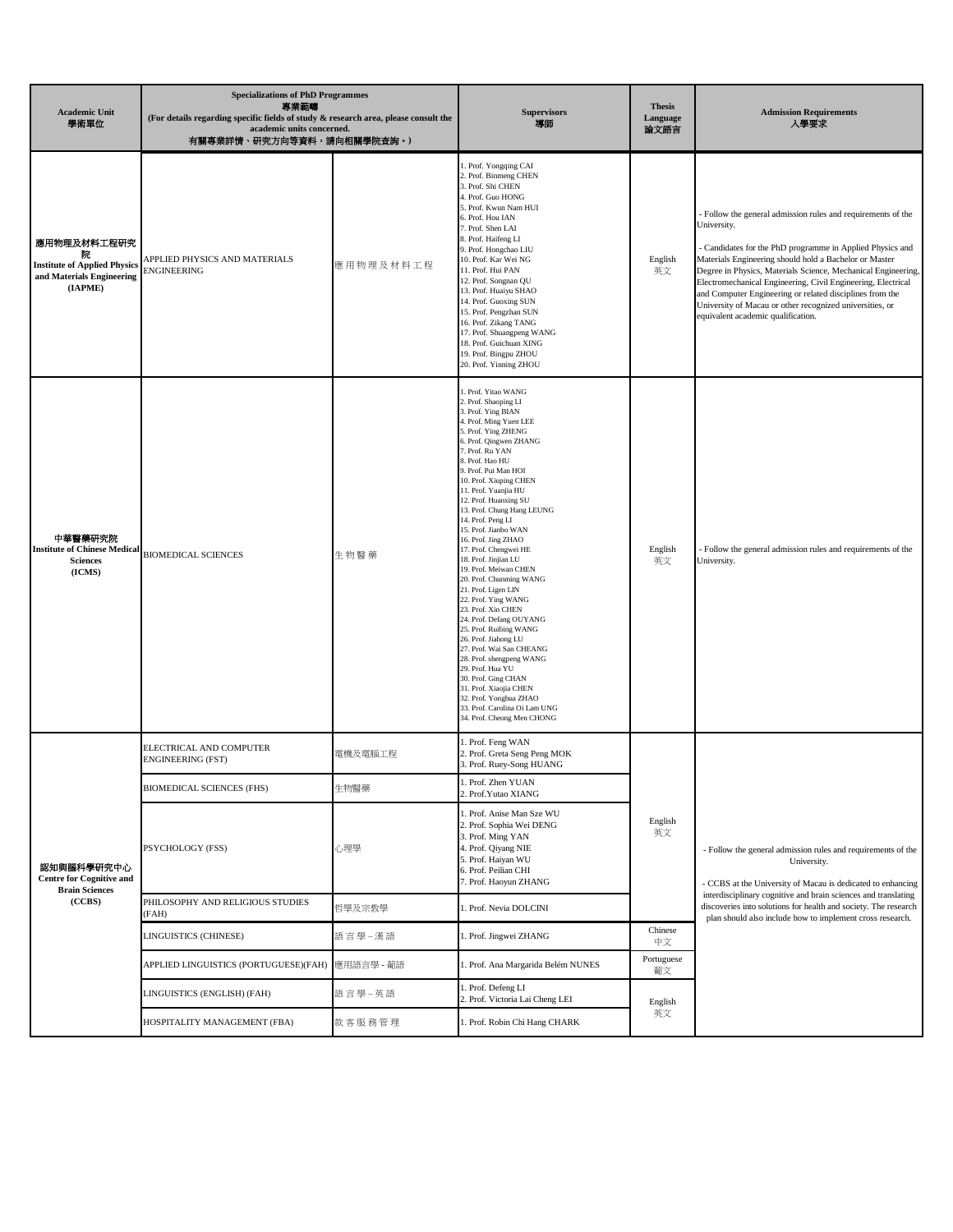| <b>Academic Unit</b><br>學術單位                                                                    | <b>Specializations of PhD Programmes</b><br>專業範疇<br>(For details regarding specific fields of study & research area, please consult the<br>academic units concerned.<br>有關專業詳情、研究方向等資料,請向相關學院查詢。) |             | <b>Supervisors</b><br>導師                                                                                                                                                                                                                                                                                                                                                                                                                                                                                                                                                                                                                                                                                                                                                                                                                                            | <b>Thesis</b><br>Language<br>論文語言 | <b>Admission Requirements</b><br>人學要求                                                                                                                                                                                                                                                                                                                                                                                                                                                         |
|-------------------------------------------------------------------------------------------------|---------------------------------------------------------------------------------------------------------------------------------------------------------------------------------------------------|-------------|---------------------------------------------------------------------------------------------------------------------------------------------------------------------------------------------------------------------------------------------------------------------------------------------------------------------------------------------------------------------------------------------------------------------------------------------------------------------------------------------------------------------------------------------------------------------------------------------------------------------------------------------------------------------------------------------------------------------------------------------------------------------------------------------------------------------------------------------------------------------|-----------------------------------|-----------------------------------------------------------------------------------------------------------------------------------------------------------------------------------------------------------------------------------------------------------------------------------------------------------------------------------------------------------------------------------------------------------------------------------------------------------------------------------------------|
| 應用物理及材料工程研究<br>院<br><b>Institute of Applied Physics</b><br>and Materials Engineering<br>(IAPME) | APPLIED PHYSICS AND MATERIALS<br><b>ENGINEERING</b>                                                                                                                                               | 應用物理及材料工程   | 1. Prof. Yongqing CAI<br>2. Prof. Binmeng CHEN<br>3. Prof. Shi CHEN<br>4. Prof. Guo HONG<br>5. Prof. Kwun Nam HUI<br>6. Prof. Hou IAN<br>7. Prof. Shen LAI<br>8. Prof. Haifeng LI<br>9. Prof. Hongchao LIU<br>10. Prof. Kar Wei NG<br>11. Prof. Hui PAN<br>12. Prof. Songnan QU<br>13. Prof. Huaiyu SHAO<br>14. Prof. Guoxing SUN<br>15. Prof. Pengzhan SUN<br>16. Prof. Zikang TANG<br>17. Prof. Shuangpeng WANG<br>18. Prof. Guichuan XING<br>19. Prof. Bingpu ZHOU<br>20. Prof. Yinning ZHOU                                                                                                                                                                                                                                                                                                                                                                     | English<br>英文                     | Follow the general admission rules and requirements of the<br>University.<br>Candidates for the PhD programme in Applied Physics and<br>Materials Engineering should hold a Bachelor or Master<br>Degree in Physics, Materials Science, Mechanical Engineering,<br>Electromechanical Engineering, Civil Engineering, Electrical<br>and Computer Engineering or related disciplines from the<br>University of Macau or other recognized universities, or<br>equivalent academic qualification. |
| 中華醫藥研究院<br><b>Institute of Chinese Medical</b><br><b>Sciences</b><br>(ICMS)                     | <b>BIOMEDICAL SCIENCES</b>                                                                                                                                                                        | 生物醫藥        | 1. Prof. Yitao WANG<br>2. Prof. Shaoping LI<br>3. Prof. Ying BIAN<br>4. Prof. Ming Yuen LEE<br>5. Prof. Ying ZHENG<br>6. Prof. Qingwen ZHANG<br>7. Prof. Ru YAN<br>8. Prof. Hao HU<br>9. Prof. Pui Man HOI<br>10. Prof. Xiuping CHEN<br>11. Prof. Yuanjia HU<br>12. Prof. Huanxing SU<br>13. Prof. Chung Hang LEUNG<br>14. Prof. Peng LI<br>15. Prof. Jianbo WAN<br>16. Prof. Jing ZHAO<br>17. Prof. Chengwei HE<br>18. Prof. Jinjian LU<br>19. Prof. Meiwan CHEN<br>20. Prof. Chunming WANG<br>21. Prof. Ligen LIN<br>22. Prof. Ying WANG<br>23. Prof. Xin CHEN<br>24. Prof. Defang OUYANG<br>25. Prof. Ruibing WANG<br>26. Prof. Jiahong LU<br>27. Prof. Wai San CHEANG<br>28. Prof. shengpeng WANG<br>29. Prof. Hua YU<br>30. Prof. Ging CHAN<br>31. Prof. Xiaojia CHEN<br>32. Prof. Yonghua ZHAO<br>33. Prof. Carolina Oi Lam UNG<br>34. Prof. Cheong Men CHONG | English<br>英文                     | Follow the general admission rules and requirements of the<br>University.                                                                                                                                                                                                                                                                                                                                                                                                                     |
| 認知與腦科學研究中心<br><b>Centre for Cognitive and</b>                                                   | ELECTRICAL AND COMPUTER<br>ENGINEERING (FST)                                                                                                                                                      | 電機及電腦工程     | 1. Prof. Feng WAN<br>2. Prof. Greta Seng Peng MOK<br>3. Prof. Ruey-Song HUANG<br>1. Prof. Zhen YUAN                                                                                                                                                                                                                                                                                                                                                                                                                                                                                                                                                                                                                                                                                                                                                                 | English<br>英文                     | - Follow the general admission rules and requirements of the<br>University.<br>- CCBS at the University of Macau is dedicated to enhancing                                                                                                                                                                                                                                                                                                                                                    |
|                                                                                                 | <b>BIOMEDICAL SCIENCES (FHS)</b><br>PSYCHOLOGY (FSS)                                                                                                                                              | 生物醫藥<br>心理學 | 2. Prof. Yutao XIANG<br>1. Prof. Anise Man Sze WU<br>2. Prof. Sophia Wei DENG<br>3. Prof. Ming YAN<br>4. Prof. Qiyang NIE<br>5. Prof. Haiyan WU<br>6. Prof. Peilian CHI<br>7. Prof. Haoyun ZHANG                                                                                                                                                                                                                                                                                                                                                                                                                                                                                                                                                                                                                                                                    |                                   |                                                                                                                                                                                                                                                                                                                                                                                                                                                                                               |
| <b>Brain Sciences</b><br>(CCBS)                                                                 | PHILOSOPHY AND RELIGIOUS STUDIES<br>(FAH)                                                                                                                                                         | 哲學及宗教學      | 1. Prof. Nevia DOLCINI                                                                                                                                                                                                                                                                                                                                                                                                                                                                                                                                                                                                                                                                                                                                                                                                                                              |                                   | interdisciplinary cognitive and brain sciences and translating<br>discoveries into solutions for health and society. The research<br>plan should also include how to implement cross research.                                                                                                                                                                                                                                                                                                |
|                                                                                                 | LINGUISTICS (CHINESE)                                                                                                                                                                             | 語言學-漢語      | 1. Prof. Jingwei ZHANG                                                                                                                                                                                                                                                                                                                                                                                                                                                                                                                                                                                                                                                                                                                                                                                                                                              | Chinese<br>中文                     |                                                                                                                                                                                                                                                                                                                                                                                                                                                                                               |
|                                                                                                 | APPLIED LINGUISTICS (PORTUGUESE)(FAH)                                                                                                                                                             | 應用語言學 - 葡語  | 1. Prof. Ana Margarida Belém NUNES                                                                                                                                                                                                                                                                                                                                                                                                                                                                                                                                                                                                                                                                                                                                                                                                                                  | Portuguese<br>葡文                  |                                                                                                                                                                                                                                                                                                                                                                                                                                                                                               |
|                                                                                                 | LINGUISTICS (ENGLISH) (FAH)                                                                                                                                                                       | 語言學-英語      | 1. Prof. Defeng LI<br>2. Prof. Victoria Lai Cheng LEI                                                                                                                                                                                                                                                                                                                                                                                                                                                                                                                                                                                                                                                                                                                                                                                                               | English<br>英文                     |                                                                                                                                                                                                                                                                                                                                                                                                                                                                                               |
|                                                                                                 | HOSPITALITY MANAGEMENT (FBA)                                                                                                                                                                      | 款 客 服 務 管 理 | 1. Prof. Robin Chi Hang CHARK                                                                                                                                                                                                                                                                                                                                                                                                                                                                                                                                                                                                                                                                                                                                                                                                                                       |                                   |                                                                                                                                                                                                                                                                                                                                                                                                                                                                                               |